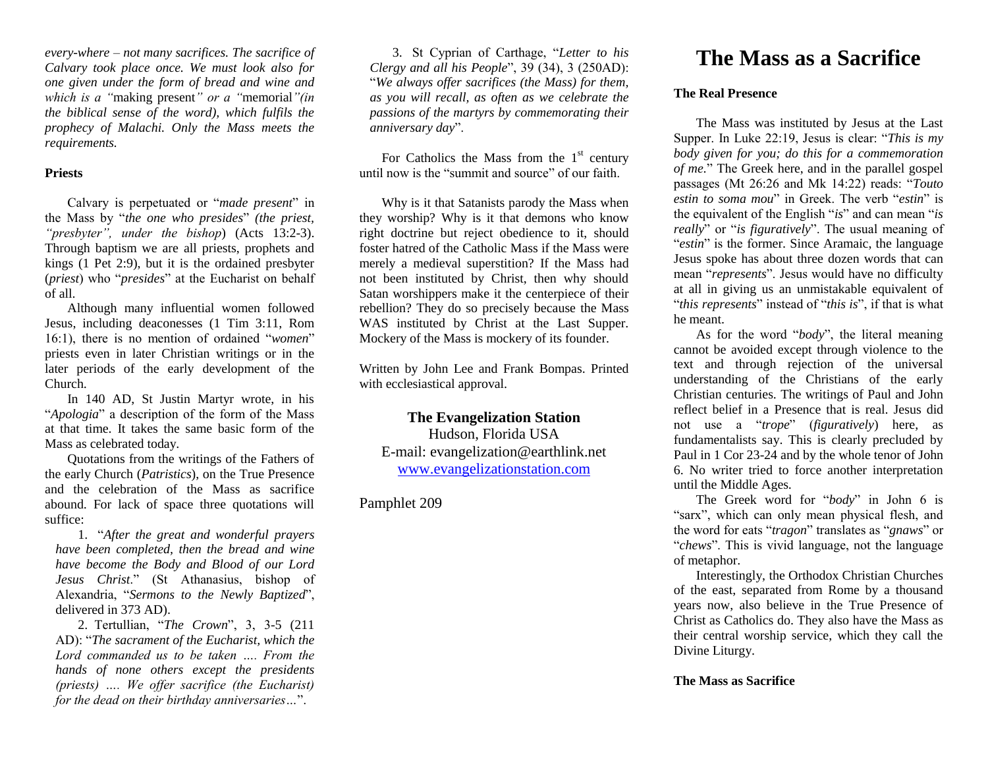*every-where – not many sacrifices. The sacrifice of Calvary took place once. We must look also for one given under the form of bread and wine and which is a "*making present*" or a "*memorial*"(in the biblical sense of the word), which fulfils the prophecy of Malachi. Only the Mass meets the requirements.*

#### **Priests**

Calvary is perpetuated or "*made present*" in the Mass by "*the one who presides*" *(the priest, "presbyter", under the bishop*) (Acts 13:2-3). Through baptism we are all priests, prophets and kings (1 Pet 2:9), but it is the ordained presbyter (*priest*) who "*presides*" at the Eucharist on behalf of all.

Although many influential women followed Jesus, including deaconesses (1 Tim 3:11, Rom 16:1), there is no mention of ordained "*women*" priests even in later Christian writings or in the later periods of the early development of the Church.

In 140 AD, St Justin Martyr wrote, in his "*Apologia*" a description of the form of the Mass at that time. It takes the same basic form of the Mass as celebrated today.

Quotations from the writings of the Fathers of the early Church (*Patristics*), on the True Presence and the celebration of the Mass as sacrifice abound. For lack of space three quotations will suffice:

1. "*After the great and wonderful prayers have been completed, then the bread and wine have become the Body and Blood of our Lord Jesus Christ*." (St Athanasius, bishop of Alexandria, "*Sermons to the Newly Baptized*", delivered in 373 AD).

2. Tertullian, "*The Crown*", 3, 3-5 (211 AD): "*The sacrament of the Eucharist, which the Lord commanded us to be taken …. From the hands of none others except the presidents (priests) …. We offer sacrifice (the Eucharist) for the dead on their birthday anniversaries…*".

3. St Cyprian of Carthage, "*Letter to his Clergy and all his People*", 39 (34), 3 (250AD): "*We always offer sacrifices (the Mass) for them, as you will recall, as often as we celebrate the passions of the martyrs by commemorating their anniversary day*".

For Catholics the Mass from the  $1<sup>st</sup>$  century until now is the "summit and source" of our faith.

Why is it that Satanists parody the Mass when they worship? Why is it that demons who know right doctrine but reject obedience to it, should foster hatred of the Catholic Mass if the Mass were merely a medieval superstition? If the Mass had not been instituted by Christ, then why should Satan worshippers make it the centerpiece of their rebellion? They do so precisely because the Mass WAS instituted by Christ at the Last Supper. Mockery of the Mass is mockery of its founder.

Written by John Lee and Frank Bompas. Printed with ecclesiastical approval.

# **The Evangelization Station**

Hudson, Florida USA E-mail: evangelization@earthlink.net [www.evangelizationstation.com](http://www.pjpiisoe.org/)

Pamphlet 209

# **The Mass as a Sacrifice**

# **The Real Presence**

The Mass was instituted by Jesus at the Last Supper. In Luke 22:19, Jesus is clear: "*This is my body given for you; do this for a commemoration of me.*" The Greek here, and in the parallel gospel passages (Mt 26:26 and Mk 14:22) reads: "*Touto estin to soma mou*" in Greek. The verb "*estin*" is the equivalent of the English "*is*" and can mean "*is really*" or "*is figuratively*". The usual meaning of "*estin*" is the former. Since Aramaic, the language Jesus spoke has about three dozen words that can mean "*represents*". Jesus would have no difficulty at all in giving us an unmistakable equivalent of "*this represents*" instead of "*this is*", if that is what he meant.

As for the word "*body*", the literal meaning cannot be avoided except through violence to the text and through rejection of the universal understanding of the Christians of the early Christian centuries. The writings of Paul and John reflect belief in a Presence that is real. Jesus did not use a "*trope*" (*figuratively*) here, as fundamentalists say. This is clearly precluded by Paul in 1 Cor 23-24 and by the whole tenor of John 6. No writer tried to force another interpretation until the Middle Ages.

The Greek word for "*body*" in John 6 is "sarx", which can only mean physical flesh, and the word for eats "*tragon*" translates as "*gnaws*" or "*chews*". This is vivid language, not the language of metaphor.

Interestingly, the Orthodox Christian Churches of the east, separated from Rome by a thousand years now, also believe in the True Presence of Christ as Catholics do. They also have the Mass as their central worship service, which they call the Divine Liturgy.

### **The Mass as Sacrifice**